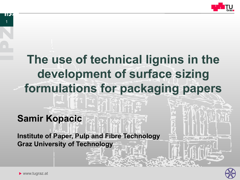

# **The use of technical lignins in the development of surface sizing formulations for packaging papers**

## **Samir Kopacic**

**Institute of Paper, Pulp and Fibre Technology Graz University of Technology** 



 $\blacktriangleright$  www.tugraz.at

1

IPZ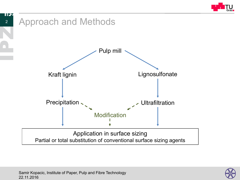



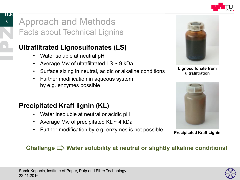

## Approach and Methods Facts about Technical Lignins

## **Ultrafiltrated Lignosulfonates (LS)**

- Water soluble at neutral pH
- Average Mw of ultrafiltrated  $LS \sim 9$  kDa
- Surface sizing in neutral, acidic or alkaline conditions
- Further modification in aqueous system by e.g. enzymes possible

## **Precipitated Kraft lignin (KL)**

- Water insoluble at neutral or acidic pH
- Average Mw of precipitated  $KL \sim 4$  kDa
- Further modification by e.g. enzymes is not possible



**Lignosulfonate from ultrafiltration** 



**Precipitated Kraft Lignin** 

### Challenge  $\Rightarrow$  Water solubility at neutral or slightly alkaline conditions!

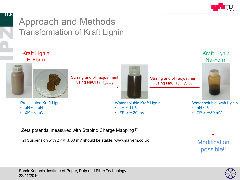

## Approach and Methods Transformation of Kraft Lignin



Zeta potential measured with Stabino Charge Mapping [2]

[2] Suspension with  $ZP \geq \pm 30$  mV should be stable, www.malvern.co.uk



**Modification** 

possible!!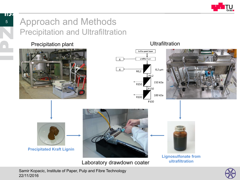

## Approach and Methods Precipitation and Ultrafiltration

#### Precipitation plant **National Contract Contract Contract Contract Contract Contract Contract Contract Contract Contract Contract Contract Contract Contract Contract Contract Contract Contract Contract Contract Contract Con**









#### **Precipitated Kraft Lignin**



Laboratory drawdown coater

**Lignosulfonate from ultrafiltration** 

22/11/2016 Samir Kopacic, Institute of Paper, Pulp and Fibre Technology

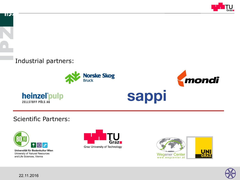

#### Industrial partners:





#### Scientific Partners:



Universität für Bodenkultur Wien University of Natural Resources and Life Sciences, Vienna





sappi

mondi